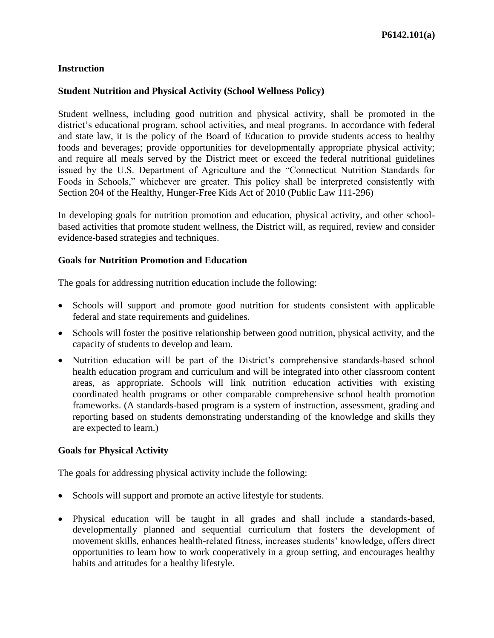### **Student Nutrition and Physical Activity (School Wellness Policy)**

Student wellness, including good nutrition and physical activity, shall be promoted in the district's educational program, school activities, and meal programs. In accordance with federal and state law, it is the policy of the Board of Education to provide students access to healthy foods and beverages; provide opportunities for developmentally appropriate physical activity; and require all meals served by the District meet or exceed the federal nutritional guidelines issued by the U.S. Department of Agriculture and the "Connecticut Nutrition Standards for Foods in Schools," whichever are greater. This policy shall be interpreted consistently with Section 204 of the Healthy, Hunger-Free Kids Act of 2010 (Public Law 111-296)

In developing goals for nutrition promotion and education, physical activity, and other schoolbased activities that promote student wellness, the District will, as required, review and consider evidence-based strategies and techniques.

#### **Goals for Nutrition Promotion and Education**

The goals for addressing nutrition education include the following:

- Schools will support and promote good nutrition for students consistent with applicable federal and state requirements and guidelines.
- Schools will foster the positive relationship between good nutrition, physical activity, and the capacity of students to develop and learn.
- Nutrition education will be part of the District's comprehensive standards-based school health education program and curriculum and will be integrated into other classroom content areas, as appropriate. Schools will link nutrition education activities with existing coordinated health programs or other comparable comprehensive school health promotion frameworks. (A standards-based program is a system of instruction, assessment, grading and reporting based on students demonstrating understanding of the knowledge and skills they are expected to learn.)

### **Goals for Physical Activity**

The goals for addressing physical activity include the following:

- Schools will support and promote an active lifestyle for students.
- Physical education will be taught in all grades and shall include a standards-based, developmentally planned and sequential curriculum that fosters the development of movement skills, enhances health-related fitness, increases students' knowledge, offers direct opportunities to learn how to work cooperatively in a group setting, and encourages healthy habits and attitudes for a healthy lifestyle.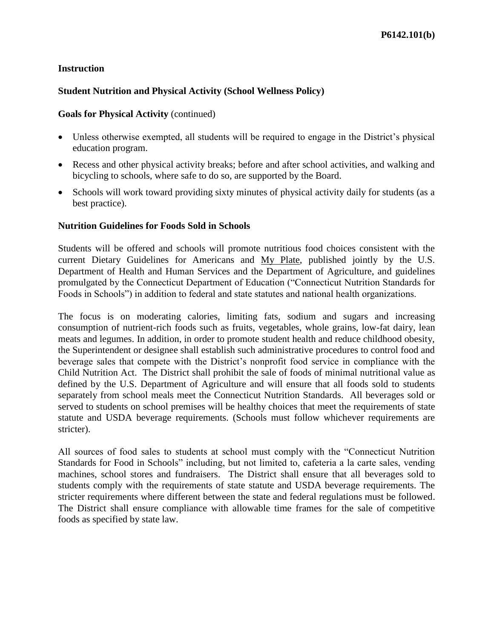## **Student Nutrition and Physical Activity (School Wellness Policy)**

#### **Goals for Physical Activity** (continued)

- Unless otherwise exempted, all students will be required to engage in the District's physical education program.
- Recess and other physical activity breaks; before and after school activities, and walking and bicycling to schools, where safe to do so, are supported by the Board.
- Schools will work toward providing sixty minutes of physical activity daily for students (as a best practice).

#### **Nutrition Guidelines for Foods Sold in Schools**

Students will be offered and schools will promote nutritious food choices consistent with the current Dietary Guidelines for Americans and My Plate, published jointly by the U.S. Department of Health and Human Services and the Department of Agriculture, and guidelines promulgated by the Connecticut Department of Education ("Connecticut Nutrition Standards for Foods in Schools") in addition to federal and state statutes and national health organizations.

The focus is on moderating calories, limiting fats, sodium and sugars and increasing consumption of nutrient-rich foods such as fruits, vegetables, whole grains, low-fat dairy, lean meats and legumes. In addition, in order to promote student health and reduce childhood obesity, the Superintendent or designee shall establish such administrative procedures to control food and beverage sales that compete with the District's nonprofit food service in compliance with the Child Nutrition Act. The District shall prohibit the sale of foods of minimal nutritional value as defined by the U.S. Department of Agriculture and will ensure that all foods sold to students separately from school meals meet the Connecticut Nutrition Standards. All beverages sold or served to students on school premises will be healthy choices that meet the requirements of state statute and USDA beverage requirements. (Schools must follow whichever requirements are stricter).

All sources of food sales to students at school must comply with the "Connecticut Nutrition Standards for Food in Schools" including, but not limited to, cafeteria a la carte sales, vending machines, school stores and fundraisers. The District shall ensure that all beverages sold to students comply with the requirements of state statute and USDA beverage requirements. The stricter requirements where different between the state and federal regulations must be followed. The District shall ensure compliance with allowable time frames for the sale of competitive foods as specified by state law.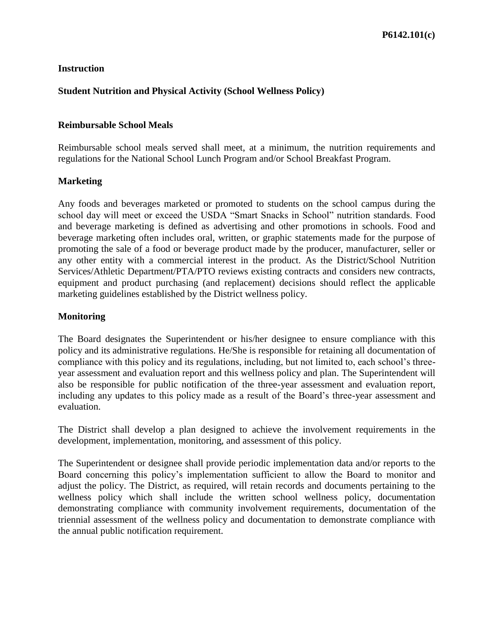## **Student Nutrition and Physical Activity (School Wellness Policy)**

### **Reimbursable School Meals**

Reimbursable school meals served shall meet, at a minimum, the nutrition requirements and regulations for the National School Lunch Program and/or School Breakfast Program.

### **Marketing**

Any foods and beverages marketed or promoted to students on the school campus during the school day will meet or exceed the USDA "Smart Snacks in School" nutrition standards. Food and beverage marketing is defined as advertising and other promotions in schools. Food and beverage marketing often includes oral, written, or graphic statements made for the purpose of promoting the sale of a food or beverage product made by the producer, manufacturer, seller or any other entity with a commercial interest in the product. As the District/School Nutrition Services/Athletic Department/PTA/PTO reviews existing contracts and considers new contracts, equipment and product purchasing (and replacement) decisions should reflect the applicable marketing guidelines established by the District wellness policy.

#### **Monitoring**

The Board designates the Superintendent or his/her designee to ensure compliance with this policy and its administrative regulations. He/She is responsible for retaining all documentation of compliance with this policy and its regulations, including, but not limited to, each school's threeyear assessment and evaluation report and this wellness policy and plan. The Superintendent will also be responsible for public notification of the three-year assessment and evaluation report, including any updates to this policy made as a result of the Board's three-year assessment and evaluation.

The District shall develop a plan designed to achieve the involvement requirements in the development, implementation, monitoring, and assessment of this policy.

The Superintendent or designee shall provide periodic implementation data and/or reports to the Board concerning this policy's implementation sufficient to allow the Board to monitor and adjust the policy. The District, as required, will retain records and documents pertaining to the wellness policy which shall include the written school wellness policy, documentation demonstrating compliance with community involvement requirements, documentation of the triennial assessment of the wellness policy and documentation to demonstrate compliance with the annual public notification requirement.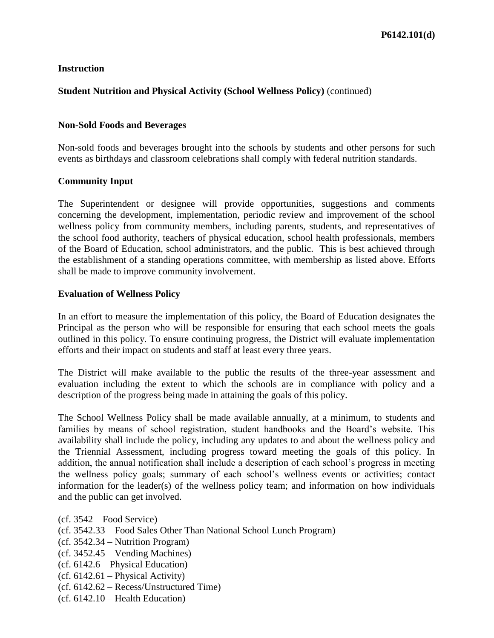## **Student Nutrition and Physical Activity (School Wellness Policy)** (continued)

### **Non-Sold Foods and Beverages**

Non-sold foods and beverages brought into the schools by students and other persons for such events as birthdays and classroom celebrations shall comply with federal nutrition standards.

### **Community Input**

The Superintendent or designee will provide opportunities, suggestions and comments concerning the development, implementation, periodic review and improvement of the school wellness policy from community members, including parents, students, and representatives of the school food authority, teachers of physical education, school health professionals, members of the Board of Education, school administrators, and the public. This is best achieved through the establishment of a standing operations committee, with membership as listed above. Efforts shall be made to improve community involvement.

### **Evaluation of Wellness Policy**

In an effort to measure the implementation of this policy, the Board of Education designates the Principal as the person who will be responsible for ensuring that each school meets the goals outlined in this policy. To ensure continuing progress, the District will evaluate implementation efforts and their impact on students and staff at least every three years.

The District will make available to the public the results of the three-year assessment and evaluation including the extent to which the schools are in compliance with policy and a description of the progress being made in attaining the goals of this policy.

The School Wellness Policy shall be made available annually, at a minimum, to students and families by means of school registration, student handbooks and the Board's website. This availability shall include the policy, including any updates to and about the wellness policy and the Triennial Assessment, including progress toward meeting the goals of this policy. In addition, the annual notification shall include a description of each school's progress in meeting the wellness policy goals; summary of each school's wellness events or activities; contact information for the leader(s) of the wellness policy team; and information on how individuals and the public can get involved.

- (cf. 3542.33 Food Sales Other Than National School Lunch Program)
- (cf. 3542.34 Nutrition Program)
- (cf. 3452.45 Vending Machines)
- (cf. 6142.6 Physical Education)
- (cf. 6142.61 Physical Activity)
- (cf. 6142.62 Recess/Unstructured Time)
- (cf. 6142.10 Health Education)

<sup>(</sup>cf. 3542 – Food Service)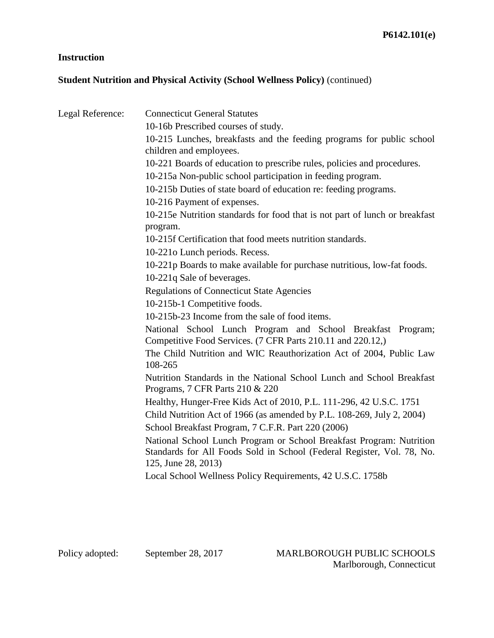# **Student Nutrition and Physical Activity (School Wellness Policy)** (continued)

| Legal Reference: | <b>Connecticut General Statutes</b>                                                                                                            |
|------------------|------------------------------------------------------------------------------------------------------------------------------------------------|
|                  | 10-16b Prescribed courses of study.                                                                                                            |
|                  | 10-215 Lunches, breakfasts and the feeding programs for public school<br>children and employees.                                               |
|                  | 10-221 Boards of education to prescribe rules, policies and procedures.                                                                        |
|                  | 10-215a Non-public school participation in feeding program.                                                                                    |
|                  |                                                                                                                                                |
|                  | 10-215b Duties of state board of education re: feeding programs.                                                                               |
|                  | 10-216 Payment of expenses.                                                                                                                    |
|                  | 10-215e Nutrition standards for food that is not part of lunch or breakfast<br>program.                                                        |
|                  | 10-215f Certification that food meets nutrition standards.                                                                                     |
|                  | 10-2210 Lunch periods. Recess.                                                                                                                 |
|                  | 10-221p Boards to make available for purchase nutritious, low-fat foods.                                                                       |
|                  | 10-221q Sale of beverages.                                                                                                                     |
|                  | <b>Regulations of Connecticut State Agencies</b>                                                                                               |
|                  | 10-215b-1 Competitive foods.                                                                                                                   |
|                  | 10-215b-23 Income from the sale of food items.                                                                                                 |
|                  | National School Lunch Program and School Breakfast Program;<br>Competitive Food Services. (7 CFR Parts 210.11 and 220.12,)                     |
|                  | The Child Nutrition and WIC Reauthorization Act of 2004, Public Law<br>108-265                                                                 |
|                  | Nutrition Standards in the National School Lunch and School Breakfast<br>Programs, 7 CFR Parts 210 & 220                                       |
|                  | Healthy, Hunger-Free Kids Act of 2010, P.L. 111-296, 42 U.S.C. 1751                                                                            |
|                  | Child Nutrition Act of 1966 (as amended by P.L. 108-269, July 2, 2004)                                                                         |
|                  | School Breakfast Program, 7 C.F.R. Part 220 (2006)                                                                                             |
|                  | National School Lunch Program or School Breakfast Program: Nutrition<br>Standards for All Foods Sold in School (Federal Register, Vol. 78, No. |
|                  | 125, June 28, 2013)                                                                                                                            |
|                  | Local School Wellness Policy Requirements, 42 U.S.C. 1758b                                                                                     |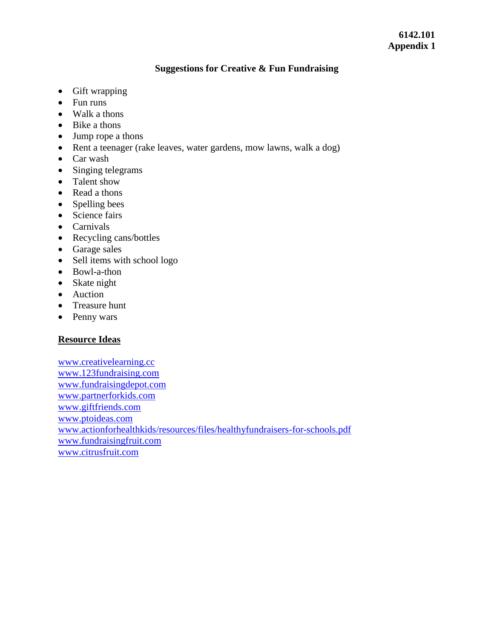### **Suggestions for Creative & Fun Fundraising**

- Gift wrapping
- Fun runs
- Walk a thons
- Bike a thons
- Jump rope a thons
- Rent a teenager (rake leaves, water gardens, mow lawns, walk a dog)
- Car wash
- Singing telegrams
- Talent show
- Read a thons
- Spelling bees
- Science fairs
- Carnivals
- Recycling cans/bottles
- Garage sales
- Sell items with school logo
- Bowl-a-thon
- Skate night
- Auction
- Treasure hunt
- Penny wars

# **Resource Ideas**

[www.creativelearning.cc](http://www.creativelearning.cc/) [www.123fundraising.com](http://www.123fundraising.com/) [www.fundraisingdepot.com](http://www.fundraisingdepot.com/) [www.partnerforkids.com](http://www.partnerforkids.com/) [www.giftfriends.com](http://www.giftfriends.com/) [www.ptoideas.com](http://www.ptoideas.com/) [www.actionforhealthkids/resources/files/healthyfundraisers-for-schools.pdf](http://www.actionforhealthkids/resources/files/healthyfundraisers-for-schools.pdf) [www.fundraisingfruit.com](http://www.fundraisingfruit.com/) [www.citrusfruit.com](http://www.citrusfruit.com/)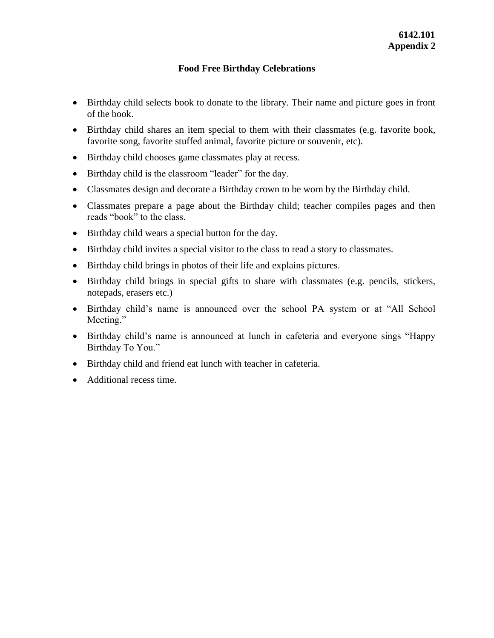## **Food Free Birthday Celebrations**

- Birthday child selects book to donate to the library. Their name and picture goes in front of the book.
- Birthday child shares an item special to them with their classmates (e.g. favorite book, favorite song, favorite stuffed animal, favorite picture or souvenir, etc).
- Birthday child chooses game classmates play at recess.
- Birthday child is the classroom "leader" for the day.
- Classmates design and decorate a Birthday crown to be worn by the Birthday child.
- Classmates prepare a page about the Birthday child; teacher compiles pages and then reads "book" to the class.
- Birthday child wears a special button for the day.
- Birthday child invites a special visitor to the class to read a story to classmates.
- Birthday child brings in photos of their life and explains pictures.
- Birthday child brings in special gifts to share with classmates (e.g. pencils, stickers, notepads, erasers etc.)
- Birthday child's name is announced over the school PA system or at "All School" Meeting."
- Birthday child's name is announced at lunch in cafeteria and everyone sings "Happy Birthday To You."
- Birthday child and friend eat lunch with teacher in cafeteria.
- Additional recess time.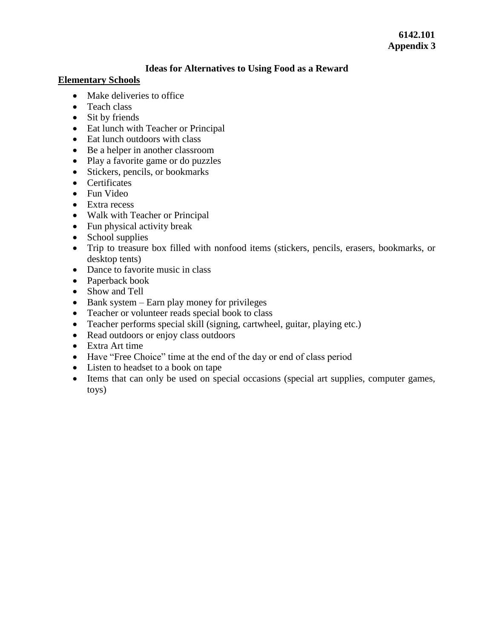## **6142.101 Appendix 3**

### **Ideas for Alternatives to Using Food as a Reward**

### **Elementary Schools**

- Make deliveries to office
- Teach class
- Sit by friends
- Eat lunch with Teacher or Principal
- Eat lunch outdoors with class
- Be a helper in another classroom
- Play a favorite game or do puzzles
- Stickers, pencils, or bookmarks
- Certificates
- Fun Video
- Extra recess
- Walk with Teacher or Principal
- Fun physical activity break
- $\bullet$  School supplies
- Trip to treasure box filled with nonfood items (stickers, pencils, erasers, bookmarks, or desktop tents)
- Dance to favorite music in class
- Paperback book
- Show and Tell
- $\bullet$  Bank system Earn play money for privileges
- Teacher or volunteer reads special book to class
- Teacher performs special skill (signing, cartwheel, guitar, playing etc.)
- Read outdoors or enjoy class outdoors
- Extra Art time
- Have "Free Choice" time at the end of the day or end of class period
- Listen to headset to a book on tape
- Items that can only be used on special occasions (special art supplies, computer games, toys)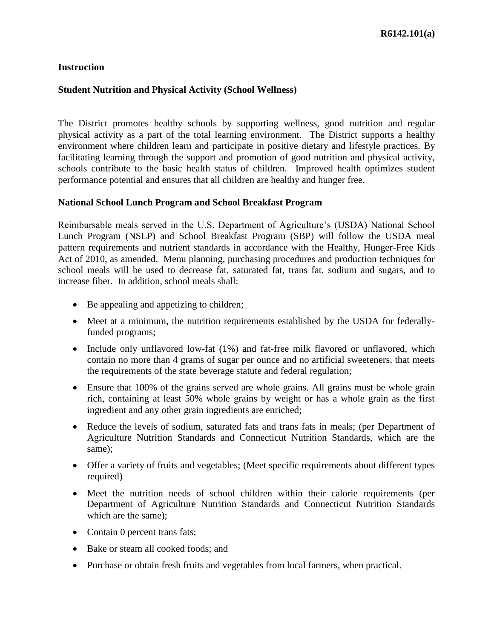### **Student Nutrition and Physical Activity (School Wellness)**

The District promotes healthy schools by supporting wellness, good nutrition and regular physical activity as a part of the total learning environment. The District supports a healthy environment where children learn and participate in positive dietary and lifestyle practices. By facilitating learning through the support and promotion of good nutrition and physical activity, schools contribute to the basic health status of children. Improved health optimizes student performance potential and ensures that all children are healthy and hunger free.

### **National School Lunch Program and School Breakfast Program**

Reimbursable meals served in the U.S. Department of Agriculture's (USDA) National School Lunch Program (NSLP) and School Breakfast Program (SBP) will follow the USDA meal pattern requirements and nutrient standards in accordance with the Healthy, Hunger-Free Kids Act of 2010, as amended. Menu planning, purchasing procedures and production techniques for school meals will be used to decrease fat, saturated fat, trans fat, sodium and sugars, and to increase fiber. In addition, school meals shall:

- Be appealing and appetizing to children;
- Meet at a minimum, the nutrition requirements established by the USDA for federallyfunded programs;
- Include only unflavored low-fat (1%) and fat-free milk flavored or unflavored, which contain no more than 4 grams of sugar per ounce and no artificial sweeteners, that meets the requirements of the state beverage statute and federal regulation;
- Ensure that 100% of the grains served are whole grains. All grains must be whole grain rich, containing at least 50% whole grains by weight or has a whole grain as the first ingredient and any other grain ingredients are enriched;
- Reduce the levels of sodium, saturated fats and trans fats in meals; (per Department of Agriculture Nutrition Standards and Connecticut Nutrition Standards, which are the same);
- Offer a variety of fruits and vegetables; (Meet specific requirements about different types required)
- Meet the nutrition needs of school children within their calorie requirements (per Department of Agriculture Nutrition Standards and Connecticut Nutrition Standards which are the same);
- Contain 0 percent trans fats;
- Bake or steam all cooked foods; and
- Purchase or obtain fresh fruits and vegetables from local farmers, when practical.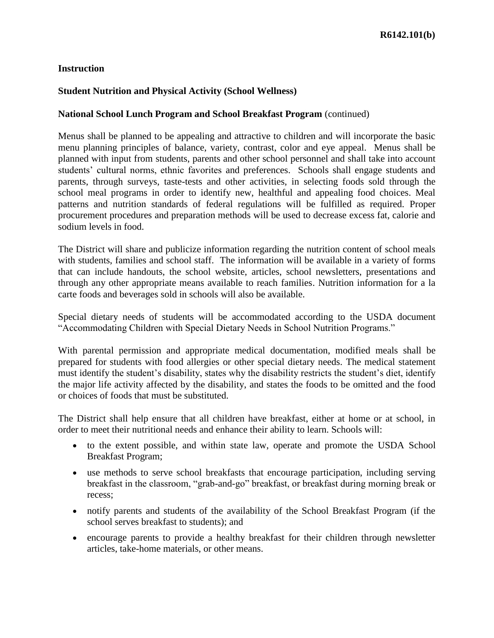## **Student Nutrition and Physical Activity (School Wellness)**

### **National School Lunch Program and School Breakfast Program** (continued)

Menus shall be planned to be appealing and attractive to children and will incorporate the basic menu planning principles of balance, variety, contrast, color and eye appeal. Menus shall be planned with input from students, parents and other school personnel and shall take into account students' cultural norms, ethnic favorites and preferences. Schools shall engage students and parents, through surveys, taste-tests and other activities, in selecting foods sold through the school meal programs in order to identify new, healthful and appealing food choices. Meal patterns and nutrition standards of federal regulations will be fulfilled as required. Proper procurement procedures and preparation methods will be used to decrease excess fat, calorie and sodium levels in food.

The District will share and publicize information regarding the nutrition content of school meals with students, families and school staff. The information will be available in a variety of forms that can include handouts, the school website, articles, school newsletters, presentations and through any other appropriate means available to reach families. Nutrition information for a la carte foods and beverages sold in schools will also be available.

Special dietary needs of students will be accommodated according to the USDA document "Accommodating Children with Special Dietary Needs in School Nutrition Programs."

With parental permission and appropriate medical documentation, modified meals shall be prepared for students with food allergies or other special dietary needs. The medical statement must identify the student's disability, states why the disability restricts the student's diet, identify the major life activity affected by the disability, and states the foods to be omitted and the food or choices of foods that must be substituted.

The District shall help ensure that all children have breakfast, either at home or at school, in order to meet their nutritional needs and enhance their ability to learn. Schools will:

- to the extent possible, and within state law, operate and promote the USDA School Breakfast Program;
- use methods to serve school breakfasts that encourage participation, including serving breakfast in the classroom, "grab-and-go" breakfast, or breakfast during morning break or recess;
- notify parents and students of the availability of the School Breakfast Program (if the school serves breakfast to students); and
- encourage parents to provide a healthy breakfast for their children through newsletter articles, take-home materials, or other means.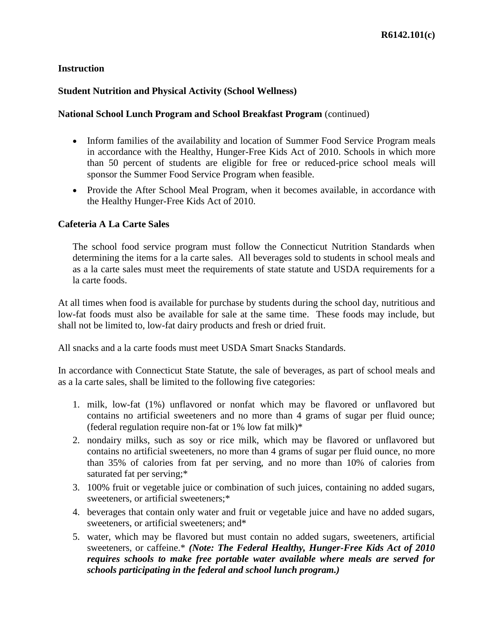## **Student Nutrition and Physical Activity (School Wellness)**

#### **National School Lunch Program and School Breakfast Program** (continued)

- Inform families of the availability and location of Summer Food Service Program meals in accordance with the Healthy, Hunger-Free Kids Act of 2010. Schools in which more than 50 percent of students are eligible for free or reduced-price school meals will sponsor the Summer Food Service Program when feasible.
- Provide the After School Meal Program, when it becomes available, in accordance with the Healthy Hunger-Free Kids Act of 2010.

### **Cafeteria A La Carte Sales**

The school food service program must follow the Connecticut Nutrition Standards when determining the items for a la carte sales. All beverages sold to students in school meals and as a la carte sales must meet the requirements of state statute and USDA requirements for a la carte foods.

At all times when food is available for purchase by students during the school day, nutritious and low-fat foods must also be available for sale at the same time. These foods may include, but shall not be limited to, low-fat dairy products and fresh or dried fruit.

All snacks and a la carte foods must meet USDA Smart Snacks Standards.

In accordance with Connecticut State Statute, the sale of beverages, as part of school meals and as a la carte sales, shall be limited to the following five categories:

- 1. milk, low-fat (1%) unflavored or nonfat which may be flavored or unflavored but contains no artificial sweeteners and no more than 4 grams of sugar per fluid ounce; (federal regulation require non-fat or  $1\%$  low fat milk)\*
- 2. nondairy milks, such as soy or rice milk, which may be flavored or unflavored but contains no artificial sweeteners, no more than 4 grams of sugar per fluid ounce, no more than 35% of calories from fat per serving, and no more than 10% of calories from saturated fat per serving;\*
- 3. 100% fruit or vegetable juice or combination of such juices, containing no added sugars, sweeteners, or artificial sweeteners;\*
- 4. beverages that contain only water and fruit or vegetable juice and have no added sugars, sweeteners, or artificial sweeteners; and\*
- 5. water, which may be flavored but must contain no added sugars, sweeteners, artificial sweeteners, or caffeine.\* *(Note: The Federal Healthy, Hunger-Free Kids Act of 2010 requires schools to make free portable water available where meals are served for schools participating in the federal and school lunch program.)*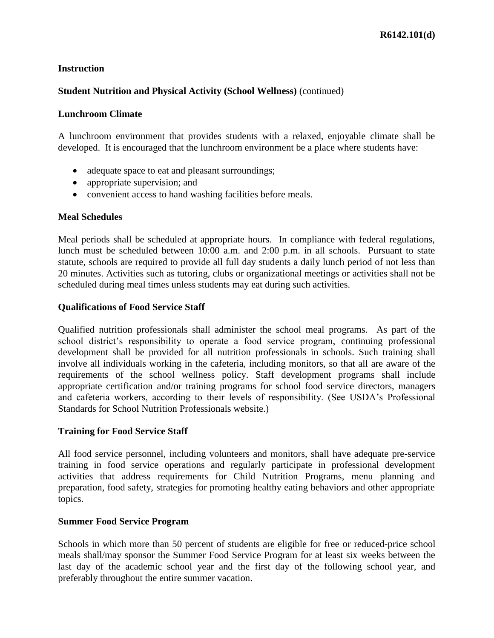## **Student Nutrition and Physical Activity (School Wellness)** (continued)

#### **Lunchroom Climate**

A lunchroom environment that provides students with a relaxed, enjoyable climate shall be developed. It is encouraged that the lunchroom environment be a place where students have:

- adequate space to eat and pleasant surroundings;
- appropriate supervision; and
- convenient access to hand washing facilities before meals.

### **Meal Schedules**

Meal periods shall be scheduled at appropriate hours. In compliance with federal regulations, lunch must be scheduled between 10:00 a.m. and 2:00 p.m. in all schools. Pursuant to state statute, schools are required to provide all full day students a daily lunch period of not less than 20 minutes. Activities such as tutoring, clubs or organizational meetings or activities shall not be scheduled during meal times unless students may eat during such activities.

### **Qualifications of Food Service Staff**

Qualified nutrition professionals shall administer the school meal programs. As part of the school district's responsibility to operate a food service program, continuing professional development shall be provided for all nutrition professionals in schools. Such training shall involve all individuals working in the cafeteria, including monitors, so that all are aware of the requirements of the school wellness policy. Staff development programs shall include appropriate certification and/or training programs for school food service directors, managers and cafeteria workers, according to their levels of responsibility. (See USDA's Professional Standards for School Nutrition Professionals website.)

### **Training for Food Service Staff**

All food service personnel, including volunteers and monitors, shall have adequate pre-service training in food service operations and regularly participate in professional development activities that address requirements for Child Nutrition Programs, menu planning and preparation, food safety, strategies for promoting healthy eating behaviors and other appropriate topics.

### **Summer Food Service Program**

Schools in which more than 50 percent of students are eligible for free or reduced-price school meals shall/may sponsor the Summer Food Service Program for at least six weeks between the last day of the academic school year and the first day of the following school year, and preferably throughout the entire summer vacation.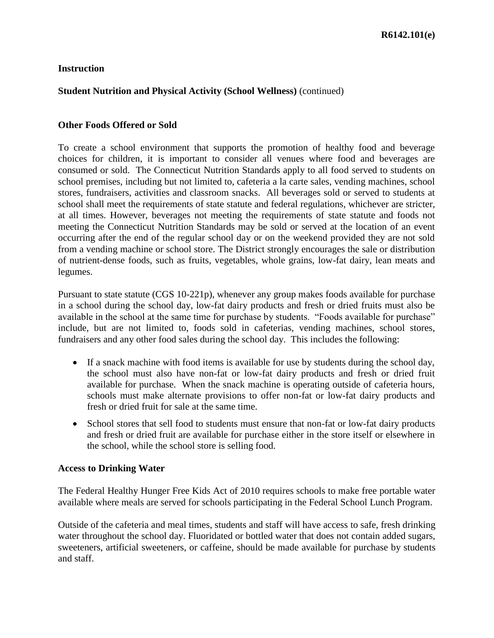## **Student Nutrition and Physical Activity (School Wellness)** (continued)

### **Other Foods Offered or Sold**

To create a school environment that supports the promotion of healthy food and beverage choices for children, it is important to consider all venues where food and beverages are consumed or sold. The Connecticut Nutrition Standards apply to all food served to students on school premises, including but not limited to, cafeteria a la carte sales, vending machines, school stores, fundraisers, activities and classroom snacks. All beverages sold or served to students at school shall meet the requirements of state statute and federal regulations, whichever are stricter, at all times. However, beverages not meeting the requirements of state statute and foods not meeting the Connecticut Nutrition Standards may be sold or served at the location of an event occurring after the end of the regular school day or on the weekend provided they are not sold from a vending machine or school store. The District strongly encourages the sale or distribution of nutrient-dense foods, such as fruits, vegetables, whole grains, low-fat dairy, lean meats and legumes.

Pursuant to state statute (CGS 10-221p), whenever any group makes foods available for purchase in a school during the school day, low-fat dairy products and fresh or dried fruits must also be available in the school at the same time for purchase by students. "Foods available for purchase" include, but are not limited to, foods sold in cafeterias, vending machines, school stores, fundraisers and any other food sales during the school day. This includes the following:

- If a snack machine with food items is available for use by students during the school day, the school must also have non-fat or low-fat dairy products and fresh or dried fruit available for purchase. When the snack machine is operating outside of cafeteria hours, schools must make alternate provisions to offer non-fat or low-fat dairy products and fresh or dried fruit for sale at the same time.
- School stores that sell food to students must ensure that non-fat or low-fat dairy products and fresh or dried fruit are available for purchase either in the store itself or elsewhere in the school, while the school store is selling food.

#### **Access to Drinking Water**

The Federal Healthy Hunger Free Kids Act of 2010 requires schools to make free portable water available where meals are served for schools participating in the Federal School Lunch Program.

Outside of the cafeteria and meal times, students and staff will have access to safe, fresh drinking water throughout the school day. Fluoridated or bottled water that does not contain added sugars, sweeteners, artificial sweeteners, or caffeine, should be made available for purchase by students and staff.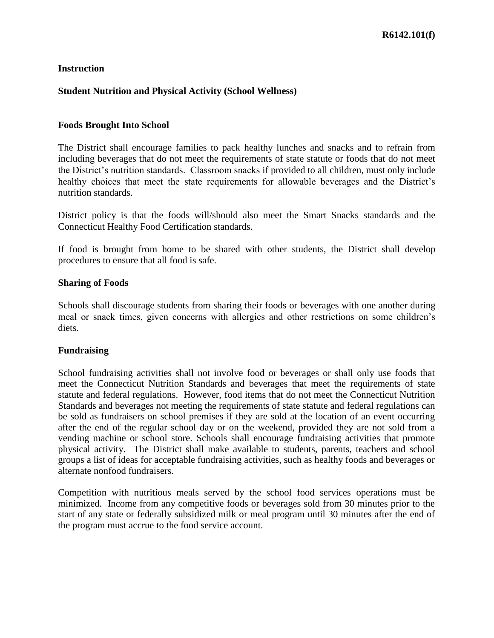### **Student Nutrition and Physical Activity (School Wellness)**

#### **Foods Brought Into School**

The District shall encourage families to pack healthy lunches and snacks and to refrain from including beverages that do not meet the requirements of state statute or foods that do not meet the District's nutrition standards. Classroom snacks if provided to all children, must only include healthy choices that meet the state requirements for allowable beverages and the District's nutrition standards.

District policy is that the foods will/should also meet the Smart Snacks standards and the Connecticut Healthy Food Certification standards.

If food is brought from home to be shared with other students, the District shall develop procedures to ensure that all food is safe.

#### **Sharing of Foods**

Schools shall discourage students from sharing their foods or beverages with one another during meal or snack times, given concerns with allergies and other restrictions on some children's diets.

#### **Fundraising**

School fundraising activities shall not involve food or beverages or shall only use foods that meet the Connecticut Nutrition Standards and beverages that meet the requirements of state statute and federal regulations. However, food items that do not meet the Connecticut Nutrition Standards and beverages not meeting the requirements of state statute and federal regulations can be sold as fundraisers on school premises if they are sold at the location of an event occurring after the end of the regular school day or on the weekend, provided they are not sold from a vending machine or school store. Schools shall encourage fundraising activities that promote physical activity. The District shall make available to students, parents, teachers and school groups a list of ideas for acceptable fundraising activities, such as healthy foods and beverages or alternate nonfood fundraisers.

Competition with nutritious meals served by the school food services operations must be minimized. Income from any competitive foods or beverages sold from 30 minutes prior to the start of any state or federally subsidized milk or meal program until 30 minutes after the end of the program must accrue to the food service account.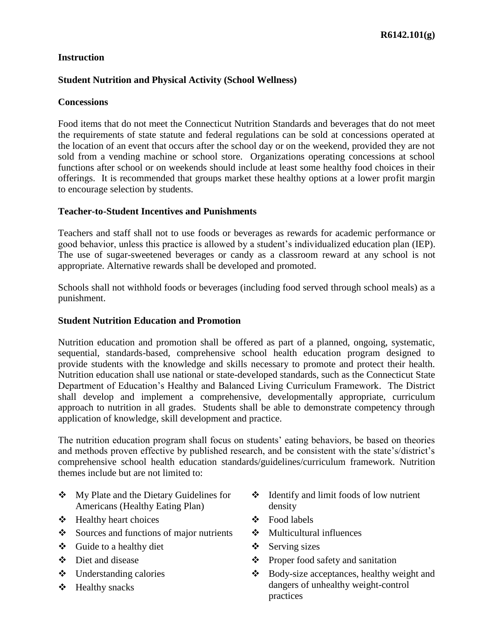## **Student Nutrition and Physical Activity (School Wellness)**

#### **Concessions**

Food items that do not meet the Connecticut Nutrition Standards and beverages that do not meet the requirements of state statute and federal regulations can be sold at concessions operated at the location of an event that occurs after the school day or on the weekend, provided they are not sold from a vending machine or school store. Organizations operating concessions at school functions after school or on weekends should include at least some healthy food choices in their offerings. It is recommended that groups market these healthy options at a lower profit margin to encourage selection by students.

#### **Teacher-to-Student Incentives and Punishments**

Teachers and staff shall not to use foods or beverages as rewards for academic performance or good behavior, unless this practice is allowed by a student's individualized education plan (IEP). The use of sugar-sweetened beverages or candy as a classroom reward at any school is not appropriate. Alternative rewards shall be developed and promoted.

Schools shall not withhold foods or beverages (including food served through school meals) as a punishment.

#### **Student Nutrition Education and Promotion**

Nutrition education and promotion shall be offered as part of a planned, ongoing, systematic, sequential, standards-based, comprehensive school health education program designed to provide students with the knowledge and skills necessary to promote and protect their health. Nutrition education shall use national or state-developed standards, such as the Connecticut State Department of Education's Healthy and Balanced Living Curriculum Framework. The District shall develop and implement a comprehensive, developmentally appropriate, curriculum approach to nutrition in all grades. Students shall be able to demonstrate competency through application of knowledge, skill development and practice.

The nutrition education program shall focus on students' eating behaviors, be based on theories and methods proven effective by published research, and be consistent with the state's/district's comprehensive school health education standards/guidelines/curriculum framework. Nutrition themes include but are not limited to:

- My Plate and the Dietary Guidelines for Americans (Healthy Eating Plan)
- Healthy heart choices
- $\bullet$  Sources and functions of major nutrients
- $\div$  Guide to a healthy diet
- $\mathbf{\hat{\Sigma}}$  Diet and disease
- Understanding calories
- $\div$  Healthy snacks
- Identify and limit foods of low nutrient density
- $\div$  Food labels
- $\div$  Multicultural influences
- Serving sizes
- $\triangle$  Proper food safety and sanitation
- Body-size acceptances, healthy weight and dangers of unhealthy weight-control practices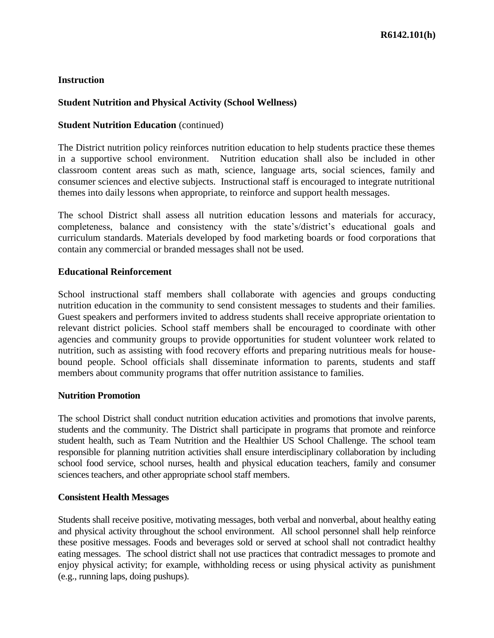#### **Student Nutrition and Physical Activity (School Wellness)**

#### **Student Nutrition Education** (continued)

The District nutrition policy reinforces nutrition education to help students practice these themes in a supportive school environment. Nutrition education shall also be included in other classroom content areas such as math, science, language arts, social sciences, family and consumer sciences and elective subjects. Instructional staff is encouraged to integrate nutritional themes into daily lessons when appropriate, to reinforce and support health messages.

The school District shall assess all nutrition education lessons and materials for accuracy, completeness, balance and consistency with the state's/district's educational goals and curriculum standards. Materials developed by food marketing boards or food corporations that contain any commercial or branded messages shall not be used.

#### **Educational Reinforcement**

School instructional staff members shall collaborate with agencies and groups conducting nutrition education in the community to send consistent messages to students and their families. Guest speakers and performers invited to address students shall receive appropriate orientation to relevant district policies. School staff members shall be encouraged to coordinate with other agencies and community groups to provide opportunities for student volunteer work related to nutrition, such as assisting with food recovery efforts and preparing nutritious meals for housebound people. School officials shall disseminate information to parents, students and staff members about community programs that offer nutrition assistance to families.

#### **Nutrition Promotion**

The school District shall conduct nutrition education activities and promotions that involve parents, students and the community. The District shall participate in programs that promote and reinforce student health, such as Team Nutrition and the Healthier US School Challenge. The school team responsible for planning nutrition activities shall ensure interdisciplinary collaboration by including school food service, school nurses, health and physical education teachers, family and consumer sciences teachers, and other appropriate school staff members.

#### **Consistent Health Messages**

Students shall receive positive, motivating messages, both verbal and nonverbal, about healthy eating and physical activity throughout the school environment. All school personnel shall help reinforce these positive messages. Foods and beverages sold or served at school shall not contradict healthy eating messages. The school district shall not use practices that contradict messages to promote and enjoy physical activity; for example, withholding recess or using physical activity as punishment (e.g., running laps, doing pushups).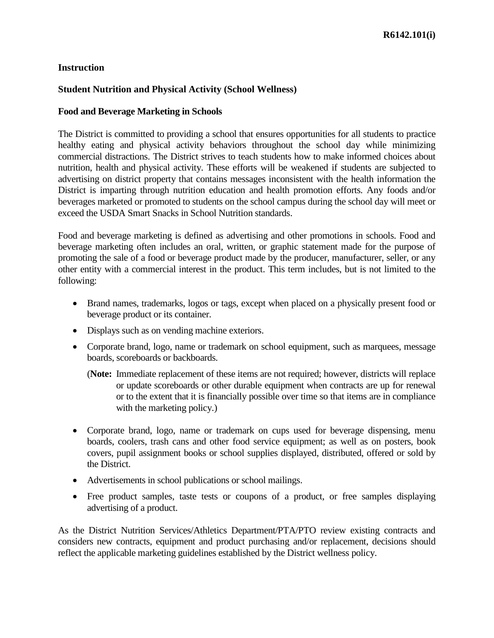#### **Student Nutrition and Physical Activity (School Wellness)**

#### **Food and Beverage Marketing in Schools**

The District is committed to providing a school that ensures opportunities for all students to practice healthy eating and physical activity behaviors throughout the school day while minimizing commercial distractions. The District strives to teach students how to make informed choices about nutrition, health and physical activity. These efforts will be weakened if students are subjected to advertising on district property that contains messages inconsistent with the health information the District is imparting through nutrition education and health promotion efforts. Any foods and/or beverages marketed or promoted to students on the school campus during the school day will meet or exceed the USDA Smart Snacks in School Nutrition standards.

Food and beverage marketing is defined as advertising and other promotions in schools. Food and beverage marketing often includes an oral, written, or graphic statement made for the purpose of promoting the sale of a food or beverage product made by the producer, manufacturer, seller, or any other entity with a commercial interest in the product. This term includes, but is not limited to the following:

- Brand names, trademarks, logos or tags, except when placed on a physically present food or beverage product or its container.
- Displays such as on vending machine exteriors.
- Corporate brand, logo, name or trademark on school equipment, such as marquees, message boards, scoreboards or backboards.
	- (**Note:** Immediate replacement of these items are not required; however, districts will replace or update scoreboards or other durable equipment when contracts are up for renewal or to the extent that it is financially possible over time so that items are in compliance with the marketing policy.)
- Corporate brand, logo, name or trademark on cups used for beverage dispensing, menu boards, coolers, trash cans and other food service equipment; as well as on posters, book covers, pupil assignment books or school supplies displayed, distributed, offered or sold by the District.
- Advertisements in school publications or school mailings.
- Free product samples, taste tests or coupons of a product, or free samples displaying advertising of a product.

As the District Nutrition Services/Athletics Department/PTA/PTO review existing contracts and considers new contracts, equipment and product purchasing and/or replacement, decisions should reflect the applicable marketing guidelines established by the District wellness policy.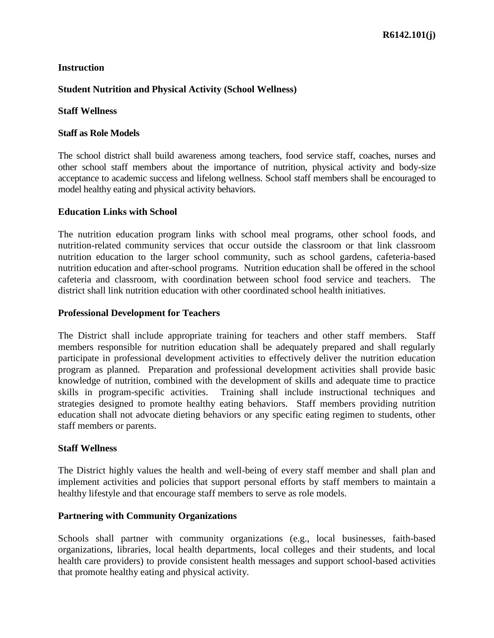## **Student Nutrition and Physical Activity (School Wellness)**

## **Staff Wellness**

## **Staff as Role Models**

The school district shall build awareness among teachers, food service staff, coaches, nurses and other school staff members about the importance of nutrition, physical activity and body-size acceptance to academic success and lifelong wellness. School staff members shall be encouraged to model healthy eating and physical activity behaviors.

### **Education Links with School**

The nutrition education program links with school meal programs, other school foods, and nutrition-related community services that occur outside the classroom or that link classroom nutrition education to the larger school community, such as school gardens, cafeteria-based nutrition education and after-school programs. Nutrition education shall be offered in the school cafeteria and classroom, with coordination between school food service and teachers. The district shall link nutrition education with other coordinated school health initiatives.

### **Professional Development for Teachers**

The District shall include appropriate training for teachers and other staff members. Staff members responsible for nutrition education shall be adequately prepared and shall regularly participate in professional development activities to effectively deliver the nutrition education program as planned. Preparation and professional development activities shall provide basic knowledge of nutrition, combined with the development of skills and adequate time to practice skills in program-specific activities. Training shall include instructional techniques and strategies designed to promote healthy eating behaviors. Staff members providing nutrition education shall not advocate dieting behaviors or any specific eating regimen to students, other staff members or parents.

### **Staff Wellness**

The District highly values the health and well-being of every staff member and shall plan and implement activities and policies that support personal efforts by staff members to maintain a healthy lifestyle and that encourage staff members to serve as role models.

### **Partnering with Community Organizations**

Schools shall partner with community organizations (e.g., local businesses, faith-based organizations, libraries, local health departments, local colleges and their students, and local health care providers) to provide consistent health messages and support school-based activities that promote healthy eating and physical activity.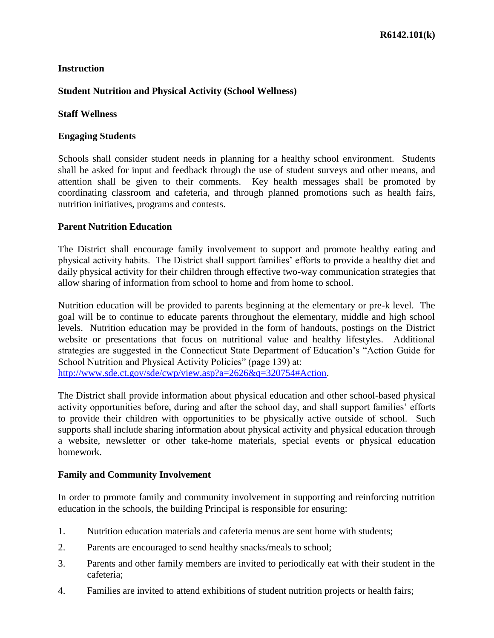## **Student Nutrition and Physical Activity (School Wellness)**

### **Staff Wellness**

### **Engaging Students**

Schools shall consider student needs in planning for a healthy school environment. Students shall be asked for input and feedback through the use of student surveys and other means, and attention shall be given to their comments. Key health messages shall be promoted by coordinating classroom and cafeteria, and through planned promotions such as health fairs, nutrition initiatives, programs and contests.

### **Parent Nutrition Education**

The District shall encourage family involvement to support and promote healthy eating and physical activity habits. The District shall support families' efforts to provide a healthy diet and daily physical activity for their children through effective two-way communication strategies that allow sharing of information from school to home and from home to school.

Nutrition education will be provided to parents beginning at the elementary or pre-k level. The goal will be to continue to educate parents throughout the elementary, middle and high school levels. Nutrition education may be provided in the form of handouts, postings on the District website or presentations that focus on nutritional value and healthy lifestyles. Additional strategies are suggested in the Connecticut State Department of Education's "Action Guide for School Nutrition and Physical Activity Policies" (page 139) at: [http://www.sde.ct.gov/sde/cwp/view.asp?a=2626&q=320754#Action.](http://www.sde.ct.gov/sde/cwp/view.asp?a=2626&q=320754#Action)

The District shall provide information about physical education and other school-based physical activity opportunities before, during and after the school day, and shall support families' efforts to provide their children with opportunities to be physically active outside of school. Such supports shall include sharing information about physical activity and physical education through a website, newsletter or other take-home materials, special events or physical education homework.

### **Family and Community Involvement**

In order to promote family and community involvement in supporting and reinforcing nutrition education in the schools, the building Principal is responsible for ensuring:

- 1. Nutrition education materials and cafeteria menus are sent home with students;
- 2. Parents are encouraged to send healthy snacks/meals to school;
- 3. Parents and other family members are invited to periodically eat with their student in the cafeteria;
- 4. Families are invited to attend exhibitions of student nutrition projects or health fairs;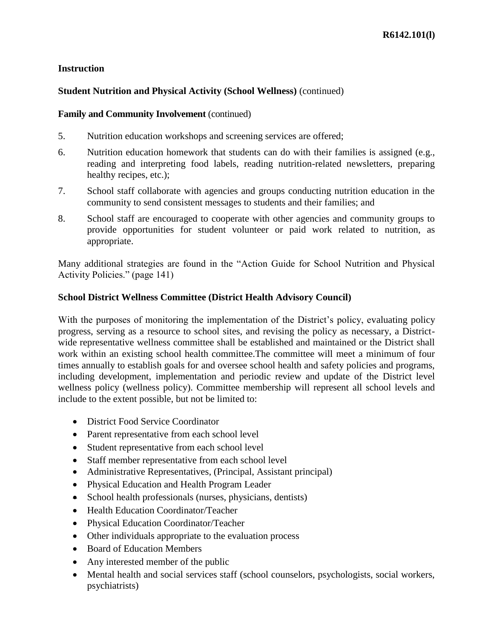## **Student Nutrition and Physical Activity (School Wellness)** (continued)

#### **Family and Community Involvement** (continued)

- 5. Nutrition education workshops and screening services are offered;
- 6. Nutrition education homework that students can do with their families is assigned (e.g., reading and interpreting food labels, reading nutrition-related newsletters, preparing healthy recipes, etc.);
- 7. School staff collaborate with agencies and groups conducting nutrition education in the community to send consistent messages to students and their families; and
- 8. School staff are encouraged to cooperate with other agencies and community groups to provide opportunities for student volunteer or paid work related to nutrition, as appropriate.

Many additional strategies are found in the "Action Guide for School Nutrition and Physical Activity Policies." (page 141)

### **School District Wellness Committee (District Health Advisory Council)**

With the purposes of monitoring the implementation of the District's policy, evaluating policy progress, serving as a resource to school sites, and revising the policy as necessary, a Districtwide representative wellness committee shall be established and maintained or the District shall work within an existing school health committee.The committee will meet a minimum of four times annually to establish goals for and oversee school health and safety policies and programs, including development, implementation and periodic review and update of the District level wellness policy (wellness policy). Committee membership will represent all school levels and include to the extent possible, but not be limited to:

- District Food Service Coordinator
- Parent representative from each school level
- Student representative from each school level
- Staff member representative from each school level
- Administrative Representatives, (Principal, Assistant principal)
- Physical Education and Health Program Leader
- $\bullet$  School health professionals (nurses, physicians, dentists)
- Health Education Coordinator/Teacher
- Physical Education Coordinator/Teacher
- Other individuals appropriate to the evaluation process
- Board of Education Members
- Any interested member of the public
- Mental health and social services staff (school counselors, psychologists, social workers, psychiatrists)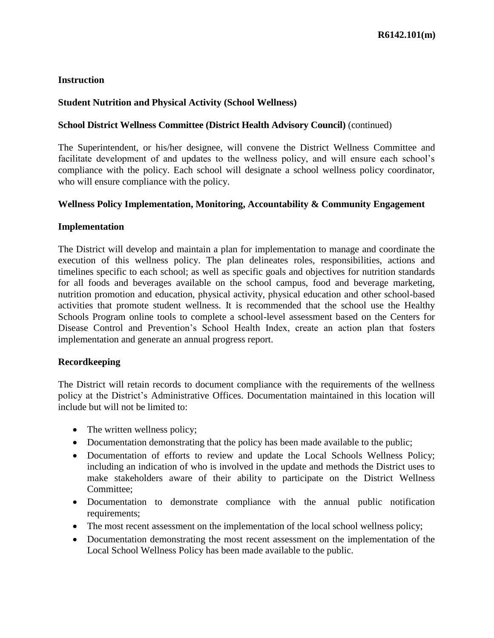#### **Student Nutrition and Physical Activity (School Wellness)**

#### **School District Wellness Committee (District Health Advisory Council)** (continued)

The Superintendent, or his/her designee, will convene the District Wellness Committee and facilitate development of and updates to the wellness policy, and will ensure each school's compliance with the policy. Each school will designate a school wellness policy coordinator, who will ensure compliance with the policy.

#### **Wellness Policy Implementation, Monitoring, Accountability & Community Engagement**

#### **Implementation**

The District will develop and maintain a plan for implementation to manage and coordinate the execution of this wellness policy. The plan delineates roles, responsibilities, actions and timelines specific to each school; as well as specific goals and objectives for nutrition standards for all foods and beverages available on the school campus, food and beverage marketing, nutrition promotion and education, physical activity, physical education and other school-based activities that promote student wellness. It is recommended that the school use the Healthy Schools Program online tools to complete a school-level assessment based on the Centers for Disease Control and Prevention's School Health Index, create an action plan that fosters implementation and generate an annual progress report.

#### **Recordkeeping**

The District will retain records to document compliance with the requirements of the wellness policy at the District's Administrative Offices. Documentation maintained in this location will include but will not be limited to:

- The written wellness policy;
- Documentation demonstrating that the policy has been made available to the public;
- Documentation of efforts to review and update the Local Schools Wellness Policy; including an indication of who is involved in the update and methods the District uses to make stakeholders aware of their ability to participate on the District Wellness Committee;
- Documentation to demonstrate compliance with the annual public notification requirements;
- The most recent assessment on the implementation of the local school wellness policy;
- Documentation demonstrating the most recent assessment on the implementation of the Local School Wellness Policy has been made available to the public.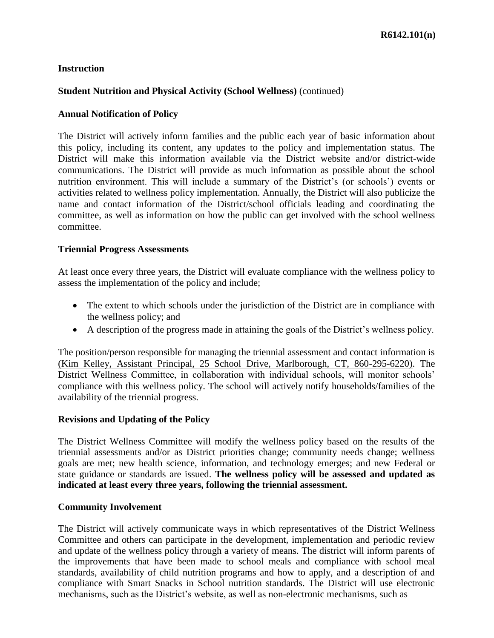### **Student Nutrition and Physical Activity (School Wellness)** (continued)

### **Annual Notification of Policy**

The District will actively inform families and the public each year of basic information about this policy, including its content, any updates to the policy and implementation status. The District will make this information available via the District website and/or district-wide communications. The District will provide as much information as possible about the school nutrition environment. This will include a summary of the District's (or schools') events or activities related to wellness policy implementation. Annually, the District will also publicize the name and contact information of the District/school officials leading and coordinating the committee, as well as information on how the public can get involved with the school wellness committee.

#### **Triennial Progress Assessments**

At least once every three years, the District will evaluate compliance with the wellness policy to assess the implementation of the policy and include;

- The extent to which schools under the jurisdiction of the District are in compliance with the wellness policy; and
- A description of the progress made in attaining the goals of the District's wellness policy.

The position/person responsible for managing the triennial assessment and contact information is (Kim Kelley, Assistant Principal, 25 School Drive, Marlborough, CT, 860-295-6220). The District Wellness Committee, in collaboration with individual schools, will monitor schools' compliance with this wellness policy. The school will actively notify households/families of the availability of the triennial progress.

#### **Revisions and Updating of the Policy**

The District Wellness Committee will modify the wellness policy based on the results of the triennial assessments and/or as District priorities change; community needs change; wellness goals are met; new health science, information, and technology emerges; and new Federal or state guidance or standards are issued. **The wellness policy will be assessed and updated as indicated at least every three years, following the triennial assessment.**

#### **Community Involvement**

The District will actively communicate ways in which representatives of the District Wellness Committee and others can participate in the development, implementation and periodic review and update of the wellness policy through a variety of means. The district will inform parents of the improvements that have been made to school meals and compliance with school meal standards, availability of child nutrition programs and how to apply, and a description of and compliance with Smart Snacks in School nutrition standards. The District will use electronic mechanisms, such as the District's website, as well as non-electronic mechanisms, such as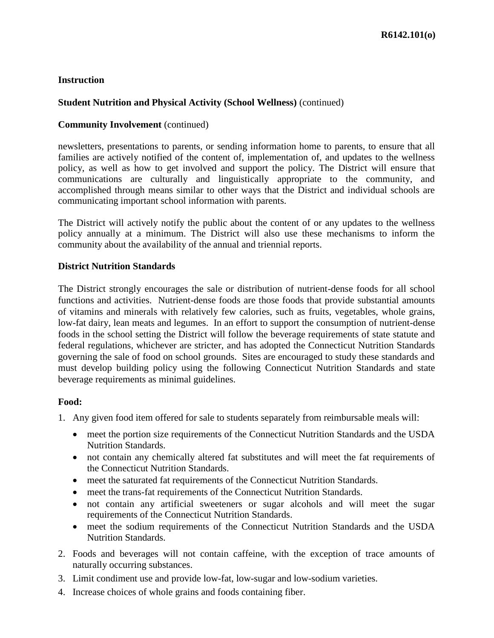## **Student Nutrition and Physical Activity (School Wellness)** (continued)

### **Community Involvement** (continued)

newsletters, presentations to parents, or sending information home to parents, to ensure that all families are actively notified of the content of, implementation of, and updates to the wellness policy, as well as how to get involved and support the policy. The District will ensure that communications are culturally and linguistically appropriate to the community, and accomplished through means similar to other ways that the District and individual schools are communicating important school information with parents.

The District will actively notify the public about the content of or any updates to the wellness policy annually at a minimum. The District will also use these mechanisms to inform the community about the availability of the annual and triennial reports.

### **District Nutrition Standards**

The District strongly encourages the sale or distribution of nutrient-dense foods for all school functions and activities. Nutrient-dense foods are those foods that provide substantial amounts of vitamins and minerals with relatively few calories, such as fruits, vegetables, whole grains, low-fat dairy, lean meats and legumes. In an effort to support the consumption of nutrient-dense foods in the school setting the District will follow the beverage requirements of state statute and federal regulations, whichever are stricter, and has adopted the Connecticut Nutrition Standards governing the sale of food on school grounds. Sites are encouraged to study these standards and must develop building policy using the following Connecticut Nutrition Standards and state beverage requirements as minimal guidelines.

### **Food:**

- 1. Any given food item offered for sale to students separately from reimbursable meals will:
	- meet the portion size requirements of the Connecticut Nutrition Standards and the USDA Nutrition Standards.
	- not contain any chemically altered fat substitutes and will meet the fat requirements of the Connecticut Nutrition Standards.
	- meet the saturated fat requirements of the Connecticut Nutrition Standards.
	- meet the trans-fat requirements of the Connecticut Nutrition Standards.
	- not contain any artificial sweeteners or sugar alcohols and will meet the sugar requirements of the Connecticut Nutrition Standards.
	- meet the sodium requirements of the Connecticut Nutrition Standards and the USDA Nutrition Standards.
- 2. Foods and beverages will not contain caffeine, with the exception of trace amounts of naturally occurring substances.
- 3. Limit condiment use and provide low-fat, low-sugar and low-sodium varieties.
- 4. Increase choices of whole grains and foods containing fiber.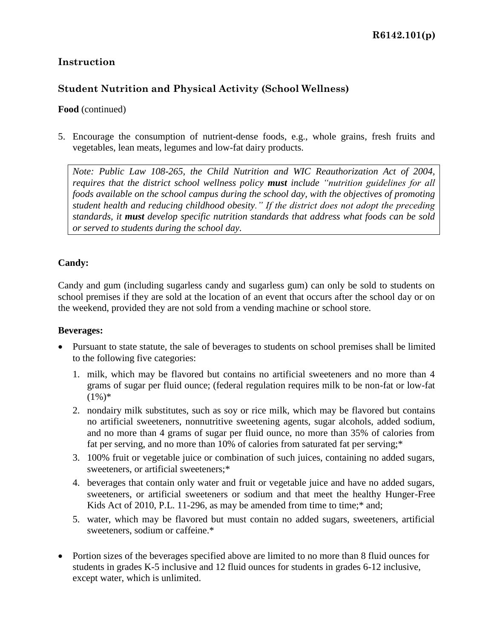# **Student Nutrition and Physical Activity (School Wellness)**

### **Food** (continued)

5. Encourage the consumption of nutrient-dense foods, e.g., whole grains, fresh fruits and vegetables, lean meats, legumes and low-fat dairy products.

*Note: Public Law 108-265, the Child Nutrition and WIC Reauthorization Act of 2004, requires that the district school wellness policy must include "nutrition guidelines for all foods available on the school campus during the school day, with the objectives of promoting student health and reducing childhood obesity." If the district does not adopt the preceding standards, it must develop specific nutrition standards that address what foods can be sold or served to students during the school day.*

## **Candy:**

Candy and gum (including sugarless candy and sugarless gum) can only be sold to students on school premises if they are sold at the location of an event that occurs after the school day or on the weekend, provided they are not sold from a vending machine or school store.

### **Beverages:**

- Pursuant to state statute, the sale of beverages to students on school premises shall be limited to the following five categories:
	- 1. milk, which may be flavored but contains no artificial sweeteners and no more than 4 grams of sugar per fluid ounce; (federal regulation requires milk to be non-fat or low-fat  $(1\%)^*$
	- 2. nondairy milk substitutes, such as soy or rice milk, which may be flavored but contains no artificial sweeteners, nonnutritive sweetening agents, sugar alcohols, added sodium, and no more than 4 grams of sugar per fluid ounce, no more than 35% of calories from fat per serving, and no more than 10% of calories from saturated fat per serving;\*
	- 3. 100% fruit or vegetable juice or combination of such juices, containing no added sugars, sweeteners, or artificial sweeteners;\*
	- 4. beverages that contain only water and fruit or vegetable juice and have no added sugars, sweeteners, or artificial sweeteners or sodium and that meet the healthy Hunger-Free Kids Act of 2010, P.L. 11-296, as may be amended from time to time;\* and;
	- 5. water, which may be flavored but must contain no added sugars, sweeteners, artificial sweeteners, sodium or caffeine.\*
- Portion sizes of the beverages specified above are limited to no more than 8 fluid ounces for students in grades K-5 inclusive and 12 fluid ounces for students in grades 6-12 inclusive, except water, which is unlimited.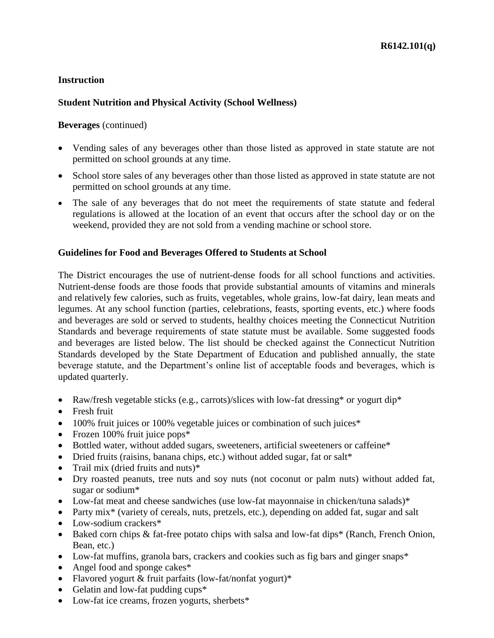### **Student Nutrition and Physical Activity (School Wellness)**

#### **Beverages** (continued)

- Vending sales of any beverages other than those listed as approved in state statute are not permitted on school grounds at any time.
- School store sales of any beverages other than those listed as approved in state statute are not permitted on school grounds at any time.
- The sale of any beverages that do not meet the requirements of state statute and federal regulations is allowed at the location of an event that occurs after the school day or on the weekend, provided they are not sold from a vending machine or school store.

#### **Guidelines for Food and Beverages Offered to Students at School**

The District encourages the use of nutrient-dense foods for all school functions and activities. Nutrient-dense foods are those foods that provide substantial amounts of vitamins and minerals and relatively few calories, such as fruits, vegetables, whole grains, low-fat dairy, lean meats and legumes. At any school function (parties, celebrations, feasts, sporting events, etc.) where foods and beverages are sold or served to students, healthy choices meeting the Connecticut Nutrition Standards and beverage requirements of state statute must be available. Some suggested foods and beverages are listed below. The list should be checked against the Connecticut Nutrition Standards developed by the State Department of Education and published annually, the state beverage statute, and the Department's online list of acceptable foods and beverages, which is updated quarterly.

- Raw/fresh vegetable sticks (e.g., carrots)/slices with low-fat dressing\* or yogurt dip\*
- Fresh fruit
- 100% fruit juices or 100% vegetable juices or combination of such juices\*
- Frozen 100% fruit juice pops\*
- Bottled water, without added sugars, sweeteners, artificial sweeteners or caffeine\*
- Dried fruits (raisins, banana chips, etc.) without added sugar, fat or salt\*
- Trail mix (dried fruits and nuts) $*$
- Dry roasted peanuts, tree nuts and soy nuts (not coconut or palm nuts) without added fat, sugar or sodium\*
- Low-fat meat and cheese sandwiches (use low-fat mayonnaise in chicken/tuna salads)\*
- Party mix<sup>\*</sup> (variety of cereals, nuts, pretzels, etc.), depending on added fat, sugar and salt
- Low-sodium crackers\*
- Baked corn chips & fat-free potato chips with salsa and low-fat dips<sup>\*</sup> (Ranch, French Onion, Bean, etc.)
- Low-fat muffins, granola bars, crackers and cookies such as fig bars and ginger snaps\*
- Angel food and sponge cakes\*
- Flavored yogurt  $&$  fruit parfaits (low-fat/nonfat yogurt)\*
- Gelatin and low-fat pudding cups $*$
- Low-fat ice creams, frozen yogurts, sherbets\*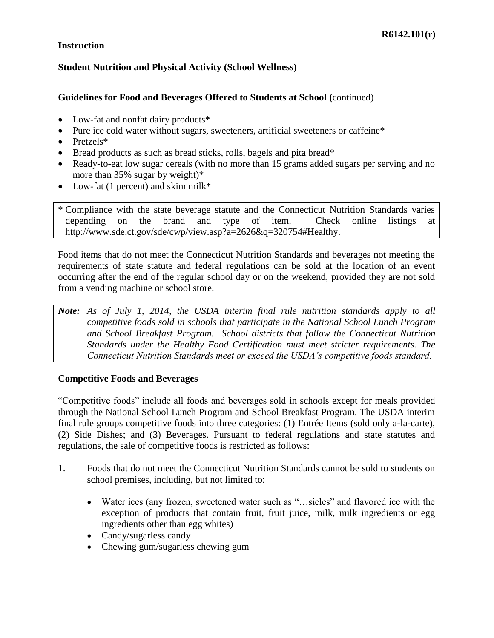## **Student Nutrition and Physical Activity (School Wellness)**

## **Guidelines for Food and Beverages Offered to Students at School (**continued)

- Low-fat and nonfat dairy products\*
- Pure ice cold water without sugars, sweeteners, artificial sweeteners or caffeine\*
- $\bullet$  Pretzels\*
- $\bullet$  Bread products as such as bread sticks, rolls, bagels and pita bread\*
- Ready-to-eat low sugar cereals (with no more than 15 grams added sugars per serving and no more than 35% sugar by weight)\*
- Low-fat (1 percent) and skim milk\*

\* Compliance with the state beverage statute and the Connecticut Nutrition Standards varies depending on the brand and type of item. Check online listings at [http://www.sde.ct.gov/sde/cwp/view.asp?a=2626&q=320754#Healthy.](http://www.sde.ct.gov/sde/cwp/view.asp?a=2626&q=320754#Healthy)

Food items that do not meet the Connecticut Nutrition Standards and beverages not meeting the requirements of state statute and federal regulations can be sold at the location of an event occurring after the end of the regular school day or on the weekend, provided they are not sold from a vending machine or school store.

*Note: As of July 1, 2014, the USDA interim final rule nutrition standards apply to all competitive foods sold in schools that participate in the National School Lunch Program and School Breakfast Program. School districts that follow the Connecticut Nutrition Standards under the Healthy Food Certification must meet stricter requirements. The Connecticut Nutrition Standards meet or exceed the USDA's competitive foods standard.*

### **Competitive Foods and Beverages**

"Competitive foods" include all foods and beverages sold in schools except for meals provided through the National School Lunch Program and School Breakfast Program. The USDA interim final rule groups competitive foods into three categories: (1) Entrée Items (sold only a-la-carte), (2) Side Dishes; and (3) Beverages. Pursuant to federal regulations and state statutes and regulations, the sale of competitive foods is restricted as follows:

- 1. Foods that do not meet the Connecticut Nutrition Standards cannot be sold to students on school premises, including, but not limited to:
	- Water ices (any frozen, sweetened water such as "…sicles" and flavored ice with the exception of products that contain fruit, fruit juice, milk, milk ingredients or egg ingredients other than egg whites)
	- Candy/sugarless candy
	- Chewing gum/sugarless chewing gum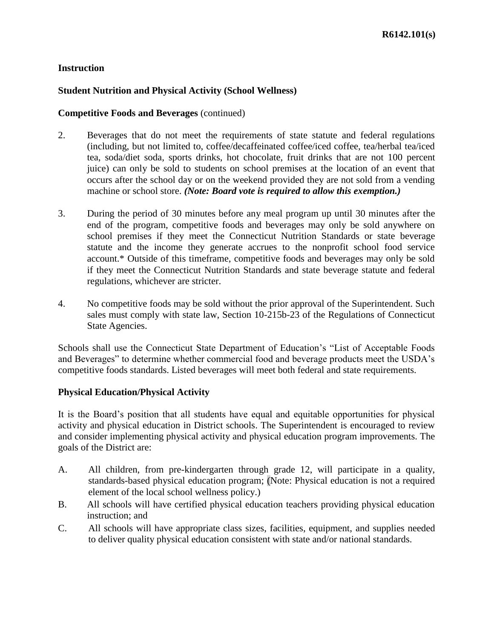## **Student Nutrition and Physical Activity (School Wellness)**

#### **Competitive Foods and Beverages** (continued)

- 2. Beverages that do not meet the requirements of state statute and federal regulations (including, but not limited to, coffee/decaffeinated coffee/iced coffee, tea/herbal tea/iced tea, soda/diet soda, sports drinks, hot chocolate, fruit drinks that are not 100 percent juice) can only be sold to students on school premises at the location of an event that occurs after the school day or on the weekend provided they are not sold from a vending machine or school store. *(Note: Board vote is required to allow this exemption.)*
- 3. During the period of 30 minutes before any meal program up until 30 minutes after the end of the program, competitive foods and beverages may only be sold anywhere on school premises if they meet the Connecticut Nutrition Standards or state beverage statute and the income they generate accrues to the nonprofit school food service account.\* Outside of this timeframe, competitive foods and beverages may only be sold if they meet the Connecticut Nutrition Standards and state beverage statute and federal regulations, whichever are stricter.
- 4. No competitive foods may be sold without the prior approval of the Superintendent. Such sales must comply with state law, Section 10-215b-23 of the Regulations of Connecticut State Agencies.

Schools shall use the Connecticut State Department of Education's "List of Acceptable Foods and Beverages" to determine whether commercial food and beverage products meet the USDA's competitive foods standards. Listed beverages will meet both federal and state requirements.

### **Physical Education/Physical Activity**

It is the Board's position that all students have equal and equitable opportunities for physical activity and physical education in District schools. The Superintendent is encouraged to review and consider implementing physical activity and physical education program improvements. The goals of the District are:

- A. All children, from pre-kindergarten through grade 12, will participate in a quality, standards-based physical education program; (Note: Physical education is not a required element of the local school wellness policy.)
- B. All schools will have certified physical education teachers providing physical education instruction; and
- C. All schools will have appropriate class sizes, facilities, equipment, and supplies needed to deliver quality physical education consistent with state and/or national standards.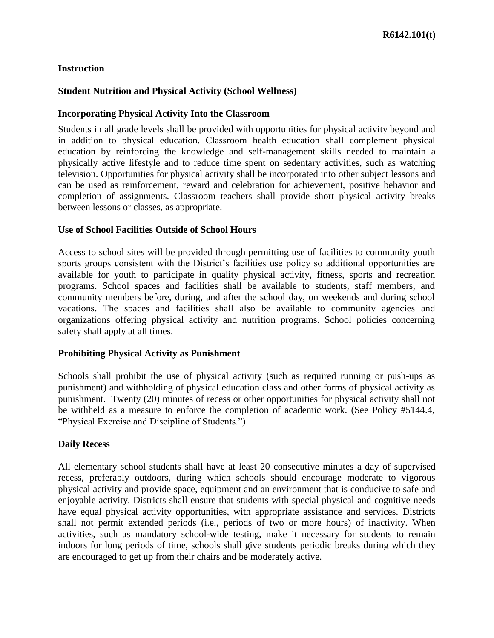### **Student Nutrition and Physical Activity (School Wellness)**

#### **Incorporating Physical Activity Into the Classroom**

Students in all grade levels shall be provided with opportunities for physical activity beyond and in addition to physical education. Classroom health education shall complement physical education by reinforcing the knowledge and self-management skills needed to maintain a physically active lifestyle and to reduce time spent on sedentary activities, such as watching television. Opportunities for physical activity shall be incorporated into other subject lessons and can be used as reinforcement, reward and celebration for achievement, positive behavior and completion of assignments. Classroom teachers shall provide short physical activity breaks between lessons or classes, as appropriate.

#### **Use of School Facilities Outside of School Hours**

Access to school sites will be provided through permitting use of facilities to community youth sports groups consistent with the District's facilities use policy so additional opportunities are available for youth to participate in quality physical activity, fitness, sports and recreation programs. School spaces and facilities shall be available to students, staff members, and community members before, during, and after the school day, on weekends and during school vacations. The spaces and facilities shall also be available to community agencies and organizations offering physical activity and nutrition programs. School policies concerning safety shall apply at all times.

### **Prohibiting Physical Activity as Punishment**

Schools shall prohibit the use of physical activity (such as required running or push-ups as punishment) and withholding of physical education class and other forms of physical activity as punishment. Twenty (20) minutes of recess or other opportunities for physical activity shall not be withheld as a measure to enforce the completion of academic work. (See Policy #5144.4, "Physical Exercise and Discipline of Students.")

### **Daily Recess**

All elementary school students shall have at least 20 consecutive minutes a day of supervised recess, preferably outdoors, during which schools should encourage moderate to vigorous physical activity and provide space, equipment and an environment that is conducive to safe and enjoyable activity. Districts shall ensure that students with special physical and cognitive needs have equal physical activity opportunities, with appropriate assistance and services. Districts shall not permit extended periods (i.e., periods of two or more hours) of inactivity. When activities, such as mandatory school-wide testing, make it necessary for students to remain indoors for long periods of time, schools shall give students periodic breaks during which they are encouraged to get up from their chairs and be moderately active.